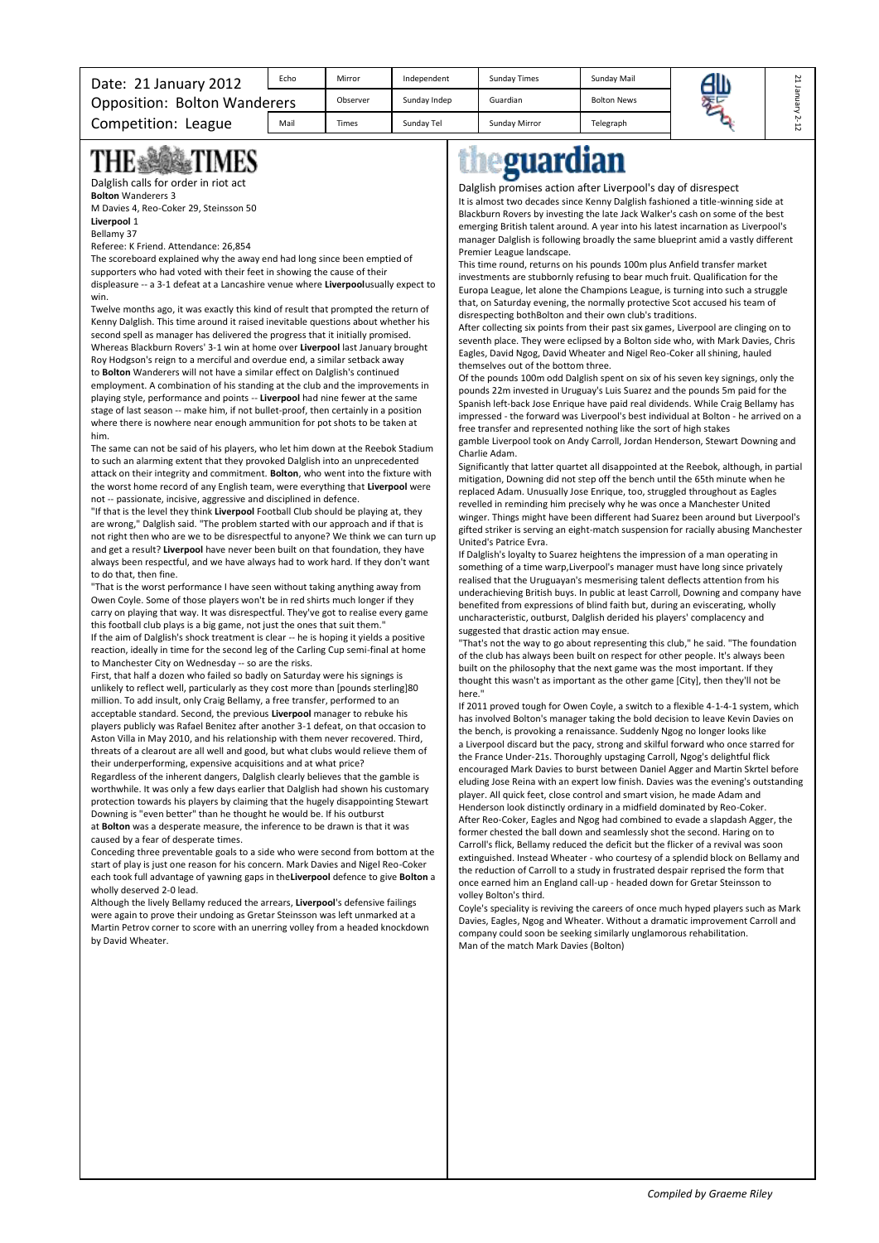| Date: 21 January 2012               | Echo | Mirror       | Independent  | Sundav Times  | Sunday Mail        |   |  |
|-------------------------------------|------|--------------|--------------|---------------|--------------------|---|--|
| <b>Opposition: Bolton Wanderers</b> |      | Observer     | Sunday Indep | Guardian      | <b>Bolton News</b> | 靊 |  |
| Competition: League                 | Mail | <b>Times</b> | Sundav Tel   | Sundav Mirror | Telegraph          |   |  |

## **THE SOLAR TIMES**

Dalglish calls for order in riot act **Bolton** Wanderers 3

M Davies 4, Reo-Coker 29, Steinsson 50 **Liverpool** 1

Bellamy 37

Referee: K Friend. Attendance: 26,854

The scoreboard explained why the away end had long since been emptied of supporters who had voted with their feet in showing the cause of their displeasure -- a 3-1 defeat at a Lancashire venue where **Liverpool**usually expect to win.

Twelve months ago, it was exactly this kind of result that prompted the return of Kenny Dalglish. This time around it raised inevitable questions about whether his second spell as manager has delivered the progress that it initially promised. Whereas Blackburn Rovers' 3-1 win at home over **Liverpool** last January brought Roy Hodgson's reign to a merciful and overdue end, a similar setback away to **Bolton** Wanderers will not have a similar effect on Dalglish's continued employment. A combination of his standing at the club and the improvements in playing style, performance and points -- **Liverpool** had nine fewer at the same stage of last season -- make him, if not bullet-proof, then certainly in a position where there is nowhere near enough ammunition for pot shots to be taken at him.

The same can not be said of his players, who let him down at the Reebok Stadium to such an alarming extent that they provoked Dalglish into an unprecedented attack on their integrity and commitment. **Bolton**, who went into the fixture with the worst home record of any English team, were everything that **Liverpool** were not -- passionate, incisive, aggressive and disciplined in defence.

"If that is the level they think **Liverpool** Football Club should be playing at, they are wrong," Dalglish said. "The problem started with our approach and if that is not right then who are we to be disrespectful to anyone? We think we can turn up and get a result? **Liverpool** have never been built on that foundation, they have always been respectful, and we have always had to work hard. If they don't want to do that, then fine.

"That is the worst performance I have seen without taking anything away from Owen Coyle. Some of those players won't be in red shirts much longer if they carry on playing that way. It was disrespectful. They've got to realise every game this football club plays is a big game, not just the ones that suit them." If the aim of Dalglish's shock treatment is clear -- he is hoping it yields a positive reaction, ideally in time for the second leg of the Carling Cup semi-final at home

to Manchester City on Wednesday -- so are the risks. First, that half a dozen who failed so badly on Saturday were his signings is unlikely to reflect well, particularly as they cost more than [pounds sterling]80 million. To add insult, only Craig Bellamy, a free transfer, performed to an acceptable standard. Second, the previous **Liverpool** manager to rebuke his players publicly was Rafael Benitez after another 3-1 defeat, on that occasion to Aston Villa in May 2010, and his relationship with them never recovered. Third, threats of a clearout are all well and good, but what clubs would relieve them of their underperforming, expensive acquisitions and at what price?

Regardless of the inherent dangers, Dalglish clearly believes that the gamble is worthwhile. It was only a few days earlier that Dalglish had shown his customary protection towards his players by claiming that the hugely disappointing Stewart Downing is "even better" than he thought he would be. If his outburst at **Bolton** was a desperate measure, the inference to be drawn is that it was caused by a fear of desperate times.

Conceding three preventable goals to a side who were second from bottom at the start of play is just one reason for his concern. Mark Davies and Nigel Reo-Coker each took full advantage of yawning gaps in the**Liverpool** defence to give **Bolton** a wholly deserved 2-0 lead.

Although the lively Bellamy reduced the arrears, **Liverpool**'s defensive failings were again to prove their undoing as Gretar Steinsson was left unmarked at a Martin Petrov corner to score with an unerring volley from a headed knockdown by David Wheater.

# theguardian

Dalglish promises action after Liverpool's day of disrespect It is almost two decades since Kenny Dalglish fashioned a title-winning side at Blackburn Rovers by investing the late Jack Walker's cash on some of the best emerging British talent around. A year into his latest incarnation as Liverpool's manager Dalglish is following broadly the same blueprint amid a vastly different Premier League landscape.

This time round, returns on his pounds 100m plus Anfield transfer market investments are stubbornly refusing to bear much fruit. Qualification for the Europa League, let alone the Champions League, is turning into such a struggle that, on Saturday evening, the normally protective Scot accused his team of disrespecting bothBolton and their own club's traditions.

After collecting six points from their past six games, Liverpool are clinging on to seventh place. They were eclipsed by a Bolton side who, with Mark Davies, Chris Eagles, David Ngog, David Wheater and Nigel Reo-Coker all shining, hauled themselves out of the bottom three.

Of the pounds 100m odd Dalglish spent on six of his seven key signings, only the pounds 22m invested in Uruguay's Luis Suarez and the pounds 5m paid for the Spanish left-back Jose Enrique have paid real dividends. While Craig Bellamy has impressed - the forward was Liverpool's best individual at Bolton - he arrived on a free transfer and represented nothing like the sort of high stakes

gamble Liverpool took on Andy Carroll, Jordan Henderson, Stewart Downing and Charlie Adam.

Significantly that latter quartet all disappointed at the Reebok, although, in partial mitigation, Downing did not step off the bench until the 65th minute when he replaced Adam. Unusually Jose Enrique, too, struggled throughout as Eagles revelled in reminding him precisely why he was once a Manchester United winger. Things might have been different had Suarez been around but Liverpool's gifted striker is serving an eight-match suspension for racially abusing Manchester United's Patrice Evra.

If Dalglish's loyalty to Suarez heightens the impression of a man operating in something of a time warp,Liverpool's manager must have long since privately realised that the Uruguayan's mesmerising talent deflects attention from his underachieving British buys. In public at least Carroll, Downing and company have benefited from expressions of blind faith but, during an eviscerating, wholly uncharacteristic, outburst, Dalglish derided his players' complacency and suggested that drastic action may ensue.

"That's not the way to go about representing this club," he said. "The foundation of the club has always been built on respect for other people. It's always been built on the philosophy that the next game was the most important. If they thought this wasn't as important as the other game [City], then they'll not be here."

If 2011 proved tough for Owen Coyle, a switch to a flexible 4-1-4-1 system, which has involved Bolton's manager taking the bold decision to leave Kevin Davies on the bench, is provoking a renaissance. Suddenly Ngog no longer looks like a Liverpool discard but the pacy, strong and skilful forward who once starred for the France Under-21s. Thoroughly upstaging Carroll, Ngog's delightful flick encouraged Mark Davies to burst between Daniel Agger and Martin Skrtel before eluding Jose Reina with an expert low finish. Davies was the evening's outstanding player. All quick feet, close control and smart vision, he made Adam and Henderson look distinctly ordinary in a midfield dominated by Reo-Coker. After Reo-Coker, Eagles and Ngog had combined to evade a slapdash Agger, the former chested the ball down and seamlessly shot the second. Haring on to Carroll's flick, Bellamy reduced the deficit but the flicker of a revival was soon extinguished. Instead Wheater - who courtesy of a splendid block on Bellamy and the reduction of Carroll to a study in frustrated despair reprised the form that once earned him an England call-up - headed down for Gretar Steinsson to volley Bolton's third.

Coyle's speciality is reviving the careers of once much hyped players such as Mark Davies, Eagles, Ngog and Wheater. Without a dramatic improvement Carroll and company could soon be seeking similarly unglamorous rehabilitation. Man of the match Mark Davies (Bolton)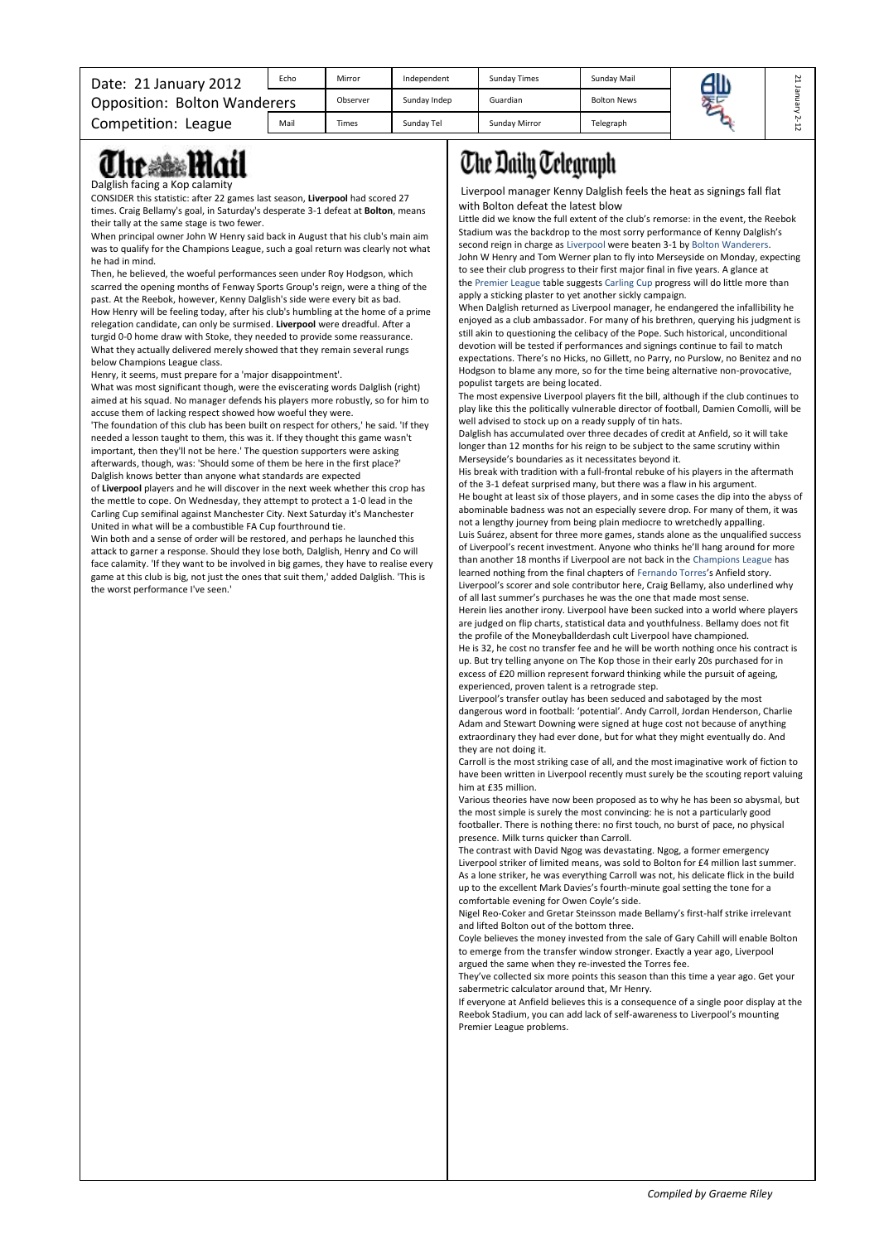| Date: 21 January 2012               | Echo | Mirror   | Independent  | <b>Sunday Times</b> | Sunday Mail        |   |  |
|-------------------------------------|------|----------|--------------|---------------------|--------------------|---|--|
| <b>Opposition: Bolton Wanderers</b> |      | Observer | Sunday Indep | Guardian            | <b>Bolton News</b> | 웷 |  |
| Competition: League                 | Mail | Times    | Sundav Tel   | Sundav Mirror       | Telegraph          |   |  |

# The **Mail**

Dalglish facing a Kop calamity

CONSIDER this statistic: after 22 games last season, **Liverpool** had scored 27 times. Craig Bellamy's goal, in Saturday's desperate 3-1 defeat at **Bolton**, means their tally at the same stage is two fewer.

When principal owner John W Henry said back in August that his club's main aim was to qualify for the Champions League, such a goal return was clearly not what he had in mind.

Then, he believed, the woeful performances seen under Roy Hodgson, which scarred the opening months of Fenway Sports Group's reign, were a thing of the past. At the Reebok, however, Kenny Dalglish's side were every bit as bad. How Henry will be feeling today, after his club's humbling at the home of a prime relegation candidate, can only be surmised. **Liverpool** were dreadful. After a turgid 0-0 home draw with Stoke, they needed to provide some reassurance. What they actually delivered merely showed that they remain several rungs below Champions League class.

Henry, it seems, must prepare for a 'major disappointment'.

What was most significant though, were the eviscerating words Dalglish (right) aimed at his squad. No manager defends his players more robustly, so for him to accuse them of lacking respect showed how woeful they were.

'The foundation of this club has been built on respect for others,' he said. 'If they needed a lesson taught to them, this was it. If they thought this game wasn't important, then they'll not be here.' The question supporters were asking afterwards, though, was: 'Should some of them be here in the first place?' Dalglish knows better than anyone what standards are expected

of **Liverpool** players and he will discover in the next week whether this crop has the mettle to cope. On Wednesday, they attempt to protect a 1-0 lead in the Carling Cup semifinal against Manchester City. Next Saturday it's Manchester United in what will be a combustible FA Cup fourthround tie.

Win both and a sense of order will be restored, and perhaps he launched this attack to garner a response. Should they lose both, Dalglish, Henry and Co will face calamity. 'If they want to be involved in big games, they have to realise every game at this club is big, not just the ones that suit them,' added Dalglish. 'This is the worst performance I've seen.'

## **The Daily Telegraph**

Liverpool manager Kenny Dalglish feels the heat as signings fall flat with Bolton defeat the latest blow

Little did we know the full extent of the club's remorse: in the event, the Reebok Stadium was the backdrop to the most sorry performance of Kenny Dalglish's second reign in charge as [Liverpool](http://www.telegraph.co.uk/sport/football/teams/liverpool/) were beaten 3-1 by [Bolton Wanderers.](http://www.telegraph.co.uk/sport/football/teams/bolton-wanderers/) John W Henry and Tom Werner plan to fly into Merseyside on Monday, expecting to see their club progress to their first major final in five years. A glance at the [Premier League](http://www.telegraph.co.uk/sport/football/competitions/premier-league/) table suggests [Carling Cup](http://www.telegraph.co.uk/sport/football/competitions/league-cup/) progress will do little more than apply a sticking plaster to yet another sickly campaign.

When Dalglish returned as Liverpool manager, he endangered the infallibility he enjoyed as a club ambassador. For many of his brethren, querying his judgment is still akin to questioning the celibacy of the Pope. Such historical, unconditional devotion will be tested if performances and signings continue to fail to match expectations. There's no Hicks, no Gillett, no Parry, no Purslow, no Benitez and no Hodgson to blame any more, so for the time being alternative non-provocative, populist targets are being located.

The most expensive Liverpool players fit the bill, although if the club continues to play like this the politically vulnerable director of football, Damien Comolli, will be well advised to stock up on a ready supply of tin hats.

Dalglish has accumulated over three decades of credit at Anfield, so it will take longer than 12 months for his reign to be subject to the same scrutiny within Merseyside's boundaries as it necessitates beyond it.

His break with tradition with a full-frontal rebuke of his players in the aftermath of the 3-1 defeat surprised many, but there was a flaw in his argument.

He bought at least six of those players, and in some cases the dip into the abyss of abominable badness was not an especially severe drop. For many of them, it was not a lengthy journey from being plain mediocre to wretchedly appalling.

Luis Suárez, absent for three more games, stands alone as the unqualified success of Liverpool's recent investment. Anyone who thinks he'll hang around for more than another 18 months if Liverpool are not back in the [Champions League](http://www.telegraph.co.uk/sport/football/competitions/champions-league/) has

learned nothing from the final chapters of [Fernando Torres](http://www.telegraph.co.uk/sport/football/players/fernando-torres/)'s Anfield story. Liverpool's scorer and sole contributor here, Craig Bellamy, also underlined why of all last summer's purchases he was the one that made most sense.

Herein lies another irony. Liverpool have been sucked into a world where players are judged on flip charts, statistical data and youthfulness. Bellamy does not fit the profile of the Moneyballderdash cult Liverpool have championed.

He is 32, he cost no transfer fee and he will be worth nothing once his contract is up. But try telling anyone on The Kop those in their early 20s purchased for in excess of £20 million represent forward thinking while the pursuit of ageing, experienced, proven talent is a retrograde step.

Liverpool's transfer outlay has been seduced and sabotaged by the most dangerous word in football: 'potential'. Andy Carroll, Jordan Henderson, Charlie Adam and Stewart Downing were signed at huge cost not because of anything extraordinary they had ever done, but for what they might eventually do. And they are not doing it.

Carroll is the most striking case of all, and the most imaginative work of fiction to have been written in Liverpool recently must surely be the scouting report valuing him at £35 million.

Various theories have now been proposed as to why he has been so abysmal, but the most simple is surely the most convincing: he is not a particularly good footballer. There is nothing there: no first touch, no burst of pace, no physical presence. Milk turns quicker than Carroll.

The contrast with David Ngog was devastating. Ngog, a former emergency Liverpool striker of limited means, was sold to Bolton for £4 million last summer. As a lone striker, he was everything Carroll was not, his delicate flick in the build up to the excellent Mark Davies's fourth-minute goal setting the tone for a comfortable evening for Owen Coyle's side.

Nigel Reo-Coker and Gretar Steinsson made Bellamy's first-half strike irrelevant and lifted Bolton out of the bottom three.

Coyle believes the money invested from the sale of Gary Cahill will enable Bolton to emerge from the transfer window stronger. Exactly a year ago, Liverpool argued the same when they re-invested the Torres fee.

They've collected six more points this season than this time a year ago. Get your sabermetric calculator around that, Mr Henry.

If everyone at Anfield believes this is a consequence of a single poor display at the Reebok Stadium, you can add lack of self-awareness to Liverpool's mounting Premier League problems.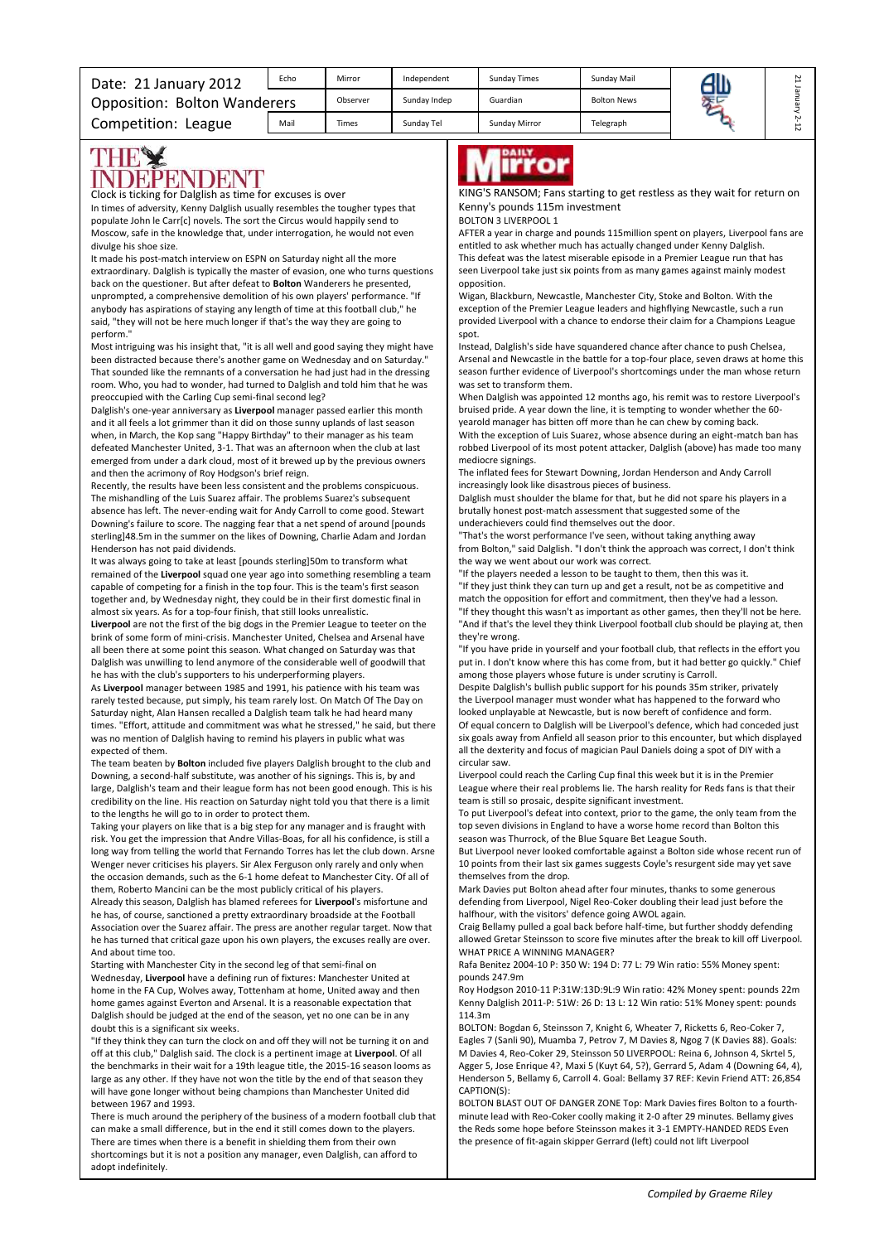| Date: 21 January 2012               | Echo | Mirror       | Independent  | Sunday Times  | Sunday Mail        |   |  |
|-------------------------------------|------|--------------|--------------|---------------|--------------------|---|--|
| <b>Opposition: Bolton Wanderers</b> |      | Observer     | Sunday Indep | Guardian      | <b>Bolton News</b> | 禦 |  |
| Competition: League                 | Mail | <b>Times</b> | Sunday Tel   | Sunday Mirror | Telegraph          |   |  |

### **THEX** EPENDENT Clock is ticking for Dalglish as time for excuses is over

In times of adversity, Kenny Dalglish usually resembles the tougher types that populate John le Carr[c] novels. The sort the Circus would happily send to Moscow, safe in the knowledge that, under interrogation, he would not even divulge his shoe size.

It made his post-match interview on ESPN on Saturday night all the more extraordinary. Dalglish is typically the master of evasion, one who turns questions back on the questioner. But after defeat to **Bolton** Wanderers he presented, unprompted, a comprehensive demolition of his own players' performance. "If anybody has aspirations of staying any length of time at this football club," he said, "they will not be here much longer if that's the way they are going to perform."

Most intriguing was his insight that, "it is all well and good saying they might have been distracted because there's another game on Wednesday and on Saturday." That sounded like the remnants of a conversation he had just had in the dressing room. Who, you had to wonder, had turned to Dalglish and told him that he was preoccupied with the Carling Cup semi-final second leg?

Dalglish's one-year anniversary as **Liverpool** manager passed earlier this month and it all feels a lot grimmer than it did on those sunny uplands of last season when, in March, the Kop sang "Happy Birthday" to their manager as his team defeated Manchester United, 3-1. That was an afternoon when the club at last emerged from under a dark cloud, most of it brewed up by the previous owners and then the acrimony of Roy Hodgson's brief reign.

Recently, the results have been less consistent and the problems conspicuous. The mishandling of the Luis Suarez affair. The problems Suarez's subsequent absence has left. The never-ending wait for Andy Carroll to come good. Stewart Downing's failure to score. The nagging fear that a net spend of around [pounds sterling]48.5m in the summer on the likes of Downing, Charlie Adam and Jordan Henderson has not paid dividends.

It was always going to take at least [pounds sterling]50m to transform what remained of the **Liverpool** squad one year ago into something resembling a team capable of competing for a finish in the top four. This is the team's first season together and, by Wednesday night, they could be in their first domestic final in almost six years. As for a top-four finish, that still looks unrealistic.

**Liverpool** are not the first of the big dogs in the Premier League to teeter on the brink of some form of mini-crisis. Manchester United, Chelsea and Arsenal have all been there at some point this season. What changed on Saturday was that Dalglish was unwilling to lend anymore of the considerable well of goodwill that he has with the club's supporters to his underperforming players.

As **Liverpool** manager between 1985 and 1991, his patience with his team was rarely tested because, put simply, his team rarely lost. On Match Of The Day on Saturday night, Alan Hansen recalled a Dalglish team talk he had heard many times. "Effort, attitude and commitment was what he stressed," he said, but there was no mention of Dalglish having to remind his players in public what was expected of them.

The team beaten by **Bolton** included five players Dalglish brought to the club and Downing, a second-half substitute, was another of his signings. This is, by and large, Dalglish's team and their league form has not been good enough. This is his credibility on the line. His reaction on Saturday night told you that there is a limit to the lengths he will go to in order to protect them.

Taking your players on like that is a big step for any manager and is fraught with risk. You get the impression that Andre Villas-Boas, for all his confidence, is still a long way from telling the world that Fernando Torres has let the club down. Arsne Wenger never criticises his players. Sir Alex Ferguson only rarely and only when the occasion demands, such as the 6-1 home defeat to Manchester City. Of all of them, Roberto Mancini can be the most publicly critical of his players.

Already this season, Dalglish has blamed referees for **Liverpool**'s misfortune and he has, of course, sanctioned a pretty extraordinary broadside at the Football Association over the Suarez affair. The press are another regular target. Now that he has turned that critical gaze upon his own players, the excuses really are over. And about time too.

Starting with Manchester City in the second leg of that semi-final on Wednesday, **Liverpool** have a defining run of fixtures: Manchester United at home in the FA Cup, Wolves away, Tottenham at home, United away and then home games against Everton and Arsenal. It is a reasonable expectation that Dalglish should be judged at the end of the season, yet no one can be in any doubt this is a significant six weeks.

"If they think they can turn the clock on and off they will not be turning it on and off at this club," Dalglish said. The clock is a pertinent image at **Liverpool**. Of all the benchmarks in their wait for a 19th league title, the 2015-16 season looms as large as any other. If they have not won the title by the end of that season they will have gone longer without being champions than Manchester United did between 1967 and 1993.

There is much around the periphery of the business of a modern football club that can make a small difference, but in the end it still comes down to the players. There are times when there is a benefit in shielding them from their own shortcomings but it is not a position any manager, even Dalglish, can afford to adopt indefinitely.





BOLTON 3 LIVERPOOL 1

AFTER a year in charge and pounds 115million spent on players, Liverpool fans are entitled to ask whether much has actually changed under Kenny Dalglish. This defeat was the latest miserable episode in a Premier League run that has seen Liverpool take just six points from as many games against mainly modest

opposition. Wigan, Blackburn, Newcastle, Manchester City, Stoke and Bolton. With the

exception of the Premier League leaders and highflying Newcastle, such a run provided Liverpool with a chance to endorse their claim for a Champions League spot.

Instead, Dalglish's side have squandered chance after chance to push Chelsea, Arsenal and Newcastle in the battle for a top-four place, seven draws at home this season further evidence of Liverpool's shortcomings under the man whose return was set to transform them.

When Dalglish was appointed 12 months ago, his remit was to restore Liverpool's bruised pride. A year down the line, it is tempting to wonder whether the 60 yearold manager has bitten off more than he can chew by coming back.

With the exception of Luis Suarez, whose absence during an eight-match ban has robbed Liverpool of its most potent attacker, Dalglish (above) has made too many mediocre signings.

The inflated fees for Stewart Downing, Jordan Henderson and Andy Carroll increasingly look like disastrous pieces of business.

Dalglish must shoulder the blame for that, but he did not spare his players in a brutally honest post-match assessment that suggested some of the underachievers could find themselves out the door.

"That's the worst performance I've seen, without taking anything away

from Bolton," said Dalglish. "I don't think the approach was correct, I don't think the way we went about our work was correct.

"If the players needed a lesson to be taught to them, then this was it.

"If they just think they can turn up and get a result, not be as competitive and match the opposition for effort and commitment, then they've had a lesson. "If they thought this wasn't as important as other games, then they'll not be here.

"And if that's the level they think Liverpool football club should be playing at, then they're wrong.

"If you have pride in yourself and your football club, that reflects in the effort you put in. I don't know where this has come from, but it had better go quickly." Chief among those players whose future is under scrutiny is Carroll.

Despite Dalglish's bullish public support for his pounds 35m striker, privately the Liverpool manager must wonder what has happened to the forward who looked unplayable at Newcastle, but is now bereft of confidence and form. Of equal concern to Dalglish will be Liverpool's defence, which had conceded just six goals away from Anfield all season prior to this encounter, but which displayed all the dexterity and focus of magician Paul Daniels doing a spot of DIY with a circular saw.

Liverpool could reach the Carling Cup final this week but it is in the Premier League where their real problems lie. The harsh reality for Reds fans is that their team is still so prosaic, despite significant investment.

To put Liverpool's defeat into context, prior to the game, the only team from the top seven divisions in England to have a worse home record than Bolton this season was Thurrock, of the Blue Square Bet League South.

But Liverpool never looked comfortable against a Bolton side whose recent run of 10 points from their last six games suggests Coyle's resurgent side may yet save themselves from the drop.

Mark Davies put Bolton ahead after four minutes, thanks to some generous defending from Liverpool, Nigel Reo-Coker doubling their lead just before the halfhour, with the visitors' defence going AWOL again.

Craig Bellamy pulled a goal back before half-time, but further shoddy defending allowed Gretar Steinsson to score five minutes after the break to kill off Liverpool. WHAT PRICE A WINNING MANAGER?

Rafa Benitez 2004-10 P: 350 W: 194 D: 77 L: 79 Win ratio: 55% Money spent: pounds 247.9m

Roy Hodgson 2010-11 P:31W:13D:9L:9 Win ratio: 42% Money spent: pounds 22m Kenny Dalglish 2011-P: 51W: 26 D: 13 L: 12 Win ratio: 51% Money spent: pounds 114.3m

BOLTON: Bogdan 6, Steinsson 7, Knight 6, Wheater 7, Ricketts 6, Reo-Coker 7, Eagles 7 (Sanli 90), Muamba 7, Petrov 7, M Davies 8, Ngog 7 (K Davies 88). Goals: M Davies 4, Reo-Coker 29, Steinsson 50 LIVERPOOL: Reina 6, Johnson 4, Skrtel 5, Agger 5, Jose Enrique 4?, Maxi 5 (Kuyt 64, 5?), Gerrard 5, Adam 4 (Downing 64, 4), Henderson 5, Bellamy 6, Carroll 4. Goal: Bellamy 37 REF: Kevin Friend ATT: 26,854 CAPTION(S):

BOLTON BLAST OUT OF DANGER ZONE Top: Mark Davies fires Bolton to a fourthminute lead with Reo-Coker coolly making it 2-0 after 29 minutes. Bellamy gives the Reds some hope before Steinsson makes it 3-1 EMPTY-HANDED REDS Even the presence of fit-again skipper Gerrard (left) could not lift Liverpool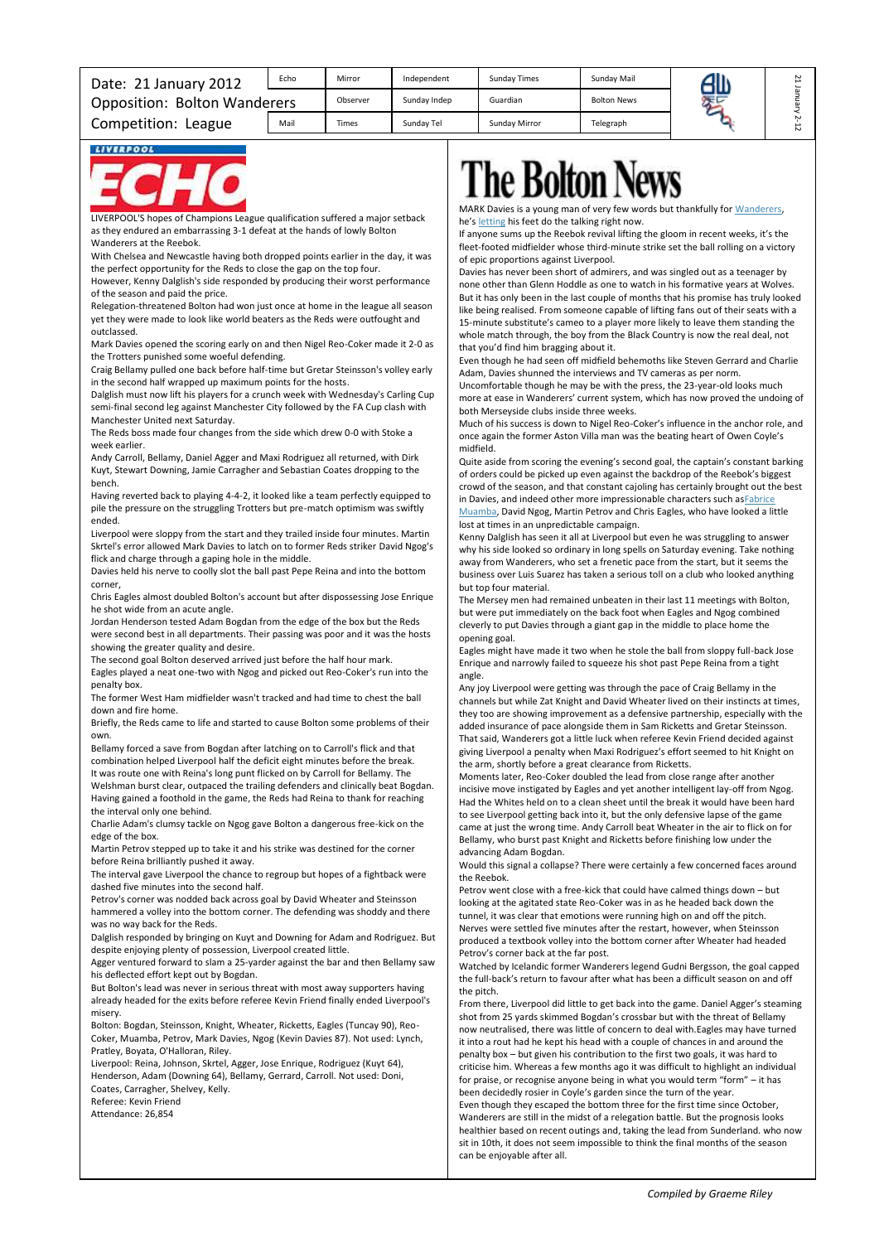| Date: 21 January 2012               | Echo | Mirror   | Independent  | Sunday Times  | Sunday Mail        |   | $\sim$            |
|-------------------------------------|------|----------|--------------|---------------|--------------------|---|-------------------|
| <b>Opposition: Bolton Wanderers</b> |      | Observer | Sunday Indep | Guardian      | <b>Bolton News</b> | 쒩 |                   |
| Competition: League                 | Mail | Times    | Sundav Tel   | Sunday Mirror | Telegraph          |   | $\mathbf{v}$<br>N |

# **LIVERPOOL**

LIVERPOOL'S hopes of Champions League qualification suffered a major setback as they endured an embarrassing 3-1 defeat at the hands of lowly Bolton Wanderers at the Reebok.

With Chelsea and Newcastle having both dropped points earlier in the day, it was the perfect opportunity for the Reds to close the gap on the top four.

However, Kenny Dalglish's side responded by producing their worst performance of the season and paid the price.

Relegation-threatened Bolton had won just once at home in the league all season yet they were made to look like world beaters as the Reds were outfought and outclassed.

Mark Davies opened the scoring early on and then Nigel Reo-Coker made it 2-0 as the Trotters punished some woeful defending.

Craig Bellamy pulled one back before half-time but Gretar Steinsson's volley early in the second half wrapped up maximum points for the hosts.

Dalglish must now lift his players for a crunch week with Wednesday's Carling Cup semi-final second leg against Manchester City followed by the FA Cup clash with Manchester United next Saturday.

The Reds boss made four changes from the side which drew 0-0 with Stoke a week earlier.

Andy Carroll, Bellamy, Daniel Agger and Maxi Rodriguez all returned, with Dirk Kuyt, Stewart Downing, Jamie Carragher and Sebastian Coates dropping to the bench.

Having reverted back to playing 4-4-2, it looked like a team perfectly equipped to pile the pressure on the struggling Trotters but pre-match optimism was swiftly ended.

Liverpool were sloppy from the start and they trailed inside four minutes. Martin Skrtel's error allowed Mark Davies to latch on to former Reds striker David Ngog's flick and charge through a gaping hole in the middle

Davies held his nerve to coolly slot the ball past Pepe Reina and into the bottom corner,

Chris Eagles almost doubled Bolton's account but after dispossessing Jose Enrique he shot wide from an acute angle.

Jordan Henderson tested Adam Bogdan from the edge of the box but the Reds were second best in all departments. Their passing was poor and it was the hosts showing the greater quality and desire.

The second goal Bolton deserved arrived just before the half hour mark.

Eagles played a neat one-two with Ngog and picked out Reo-Coker's run into the penalty box.

The former West Ham midfielder wasn't tracked and had time to chest the ball down and fire home.

Briefly, the Reds came to life and started to cause Bolton some problems of their own.

Bellamy forced a save from Bogdan after latching on to Carroll's flick and that combination helped Liverpool half the deficit eight minutes before the break.

It was route one with Reina's long punt flicked on by Carroll for Bellamy. The Welshman burst clear, outpaced the trailing defenders and clinically beat Bogdan. Having gained a foothold in the game, the Reds had Reina to thank for reaching the interval only one behind.

Charlie Adam's clumsy tackle on Ngog gave Bolton a dangerous free-kick on the edge of the box.

Martin Petrov stepped up to take it and his strike was destined for the corner before Reina brilliantly pushed it away.

The interval gave Liverpool the chance to regroup but hopes of a fightback were dashed five minutes into the second half.

Petrov's corner was nodded back across goal by David Wheater and Steinsson

hammered a volley into the bottom corner. The defending was shoddy and there was no way back for the Reds.

Dalglish responded by bringing on Kuyt and Downing for Adam and Rodriguez. But despite enjoying plenty of possession, Liverpool created little.

Agger ventured forward to slam a 25-yarder against the bar and then Bellamy saw his deflected effort kept out by Bogdan.

But Bolton's lead was never in serious threat with most away supporters having already headed for the exits before referee Kevin Friend finally ended Liverpool's misery.

Bolton: Bogdan, Steinsson, Knight, Wheater, Ricketts, Eagles (Tuncay 90), Reo-Coker, Muamba, Petrov, Mark Davies, Ngog (Kevin Davies 87). Not used: Lynch, Pratley, Boyata, O'Halloran, Riley.

Liverpool: Reina, Johnson, Skrtel, Agger, Jose Enrique, Rodriguez (Kuyt 64), Henderson, Adam (Downing 64), Bellamy, Gerrard, Carroll. Not used: Doni, Coates, Carragher, Shelvey, Kelly.

Referee: Kevin Friend

Attendance: 26,854

# **The Bolton News**

MARK Davies is a young man of very few words but thankfully for *Wanderers*, he's [letting](http://www.theboltonnews.co.uk/homes) his feet do the talking right now.

If anyone sums up the Reebok revival lifting the gloom in recent weeks, it's the fleet-footed midfielder whose third-minute strike set the ball rolling on a victory of epic proportions against Liverpool.

Davies has never been short of admirers, and was singled out as a teenager by none other than Glenn Hoddle as one to watch in his formative years at Wolves. But it has only been in the last couple of months that his promise has truly looked like being realised. From someone capable of lifting fans out of their seats with a 15-minute substitute's cameo to a player more likely to leave them standing the whole match through, the boy from the Black Country is now the real deal, not that you'd find him bragging about it.

Even though he had seen off midfield behemoths like Steven Gerrard and Charlie Adam, Davies shunned the interviews and TV cameras as per norm. Uncomfortable though he may be with the press, the 23-year-old looks much

more at ease in Wanderers' current system, which has now proved the undoing of both Merseyside clubs inside three weeks.

Much of his success is down to Nigel Reo-Coker's influence in the anchor role, and once again the former Aston Villa man was the beating heart of Owen Coyle's midfield.

Quite aside from scoring the evening's second goal, the captain's constant barking of orders could be picked up even against the backdrop of the Reebok's biggest crowd of the season, and that constant cajoling has certainly brought out the best in Davies, and indeed other more impressionable characters such a[sFabrice](http://www.theboltonnews.co.uk/search/?search=Fabrice+Muamba) [Muamba,](http://www.theboltonnews.co.uk/search/?search=Fabrice+Muamba) David Ngog, Martin Petrov and Chris Eagles, who have looked a little lost at times in an unpredictable campaign.

Kenny Dalglish has seen it all at Liverpool but even he was struggling to answer why his side looked so ordinary in long spells on Saturday evening. Take nothing away from Wanderers, who set a frenetic pace from the start, but it seems the business over Luis Suarez has taken a serious toll on a club who looked anything but top four material.

The Mersey men had remained unbeaten in their last 11 meetings with Bolton, but were put immediately on the back foot when Eagles and Ngog combined cleverly to put Davies through a giant gap in the middle to place home the opening goal.

Eagles might have made it two when he stole the ball from sloppy full-back Jose Enrique and narrowly failed to squeeze his shot past Pepe Reina from a tight angle.

Any joy Liverpool were getting was through the pace of Craig Bellamy in the channels but while Zat Knight and David Wheater lived on their instincts at times, they too are showing improvement as a defensive partnership, especially with the added insurance of pace alongside them in Sam Ricketts and Gretar Steinsson. That said, Wanderers got a little luck when referee Kevin Friend decided against giving Liverpool a penalty when Maxi Rodriguez's effort seemed to hit Knight on the arm, shortly before a great clearance from Ricketts.

Moments later, Reo-Coker doubled the lead from close range after another incisive move instigated by Eagles and yet another intelligent lay-off from Ngog. Had the Whites held on to a clean sheet until the break it would have been hard to see Liverpool getting back into it, but the only defensive lapse of the game came at just the wrong time. Andy Carroll beat Wheater in the air to flick on for Bellamy, who burst past Knight and Ricketts before finishing low under the advancing Adam Bogdan.

Would this signal a collapse? There were certainly a few concerned faces around the Reebok.

Petrov went close with a free-kick that could have calmed things down – but looking at the agitated state Reo-Coker was in as he headed back down the tunnel, it was clear that emotions were running high on and off the pitch. Nerves were settled five minutes after the restart, however, when Steinsson produced a textbook volley into the bottom corner after Wheater had headed Petrov's corner back at the far post.

Watched by Icelandic former Wanderers legend Gudni Bergsson, the goal capped the full-back's return to favour after what has been a difficult season on and off the pitch.

From there, Liverpool did little to get back into the game. Daniel Agger's steaming shot from 25 yards skimmed Bogdan's crossbar but with the threat of Bellamy now neutralised, there was little of concern to deal with.Eagles may have turned it into a rout had he kept his head with a couple of chances in and around the penalty box – but given his contribution to the first two goals, it was hard to criticise him. Whereas a few months ago it was difficult to highlight an individual for praise, or recognise anyone being in what you would term "form" – it has been decidedly rosier in Coyle's garden since the turn of the year. Even though they escaped the bottom three for the first time since October,

Wanderers are still in the midst of a relegation battle. But the prognosis looks healthier based on recent outings and, taking the lead from Sunderland. who now sit in 10th, it does not seem impossible to think the final months of the seasor can be enjoyable after all.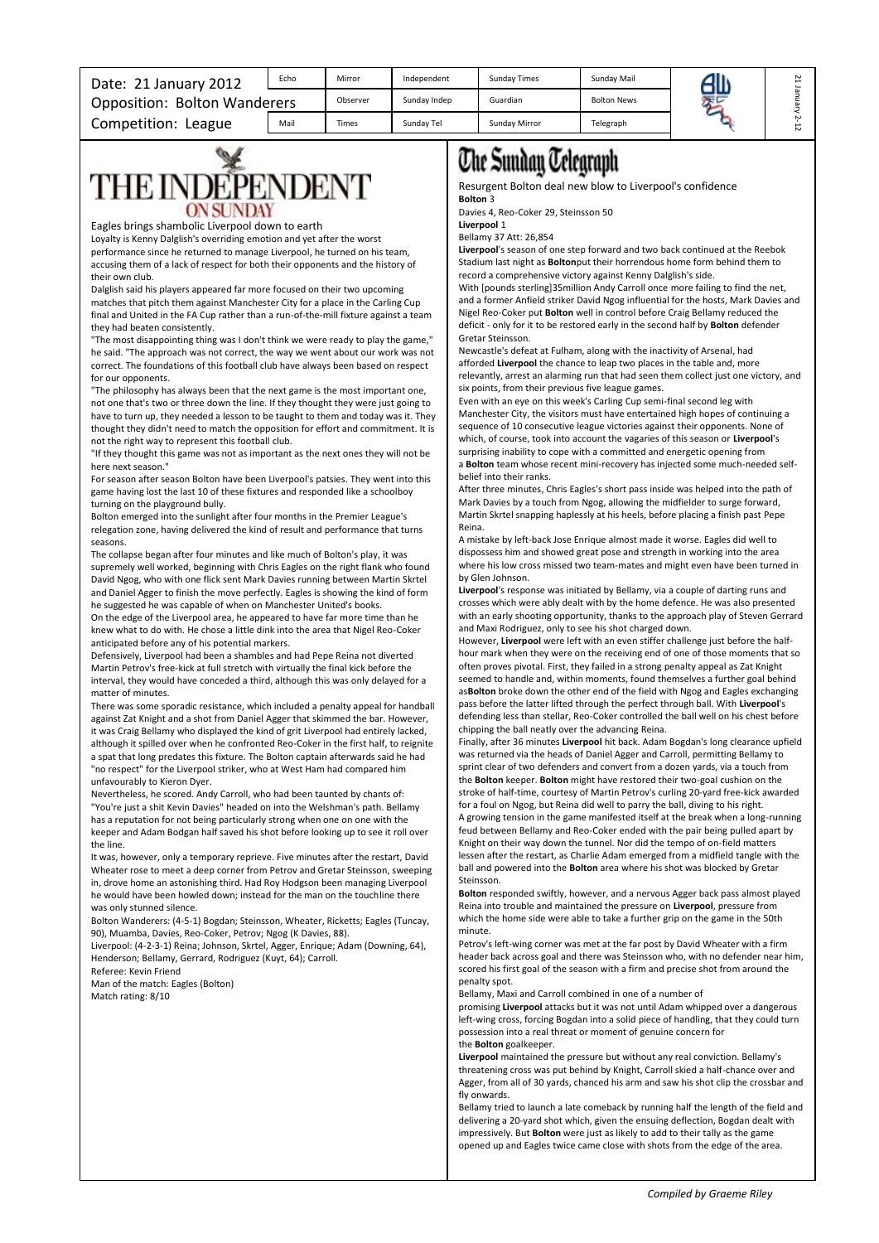| Date: 21 January 2012               | Echo | Mirror       | Independent  | Sunday Times  | Sunday Mail        |   |  |
|-------------------------------------|------|--------------|--------------|---------------|--------------------|---|--|
| <b>Opposition: Bolton Wanderers</b> |      | Observer     | Sunday Indep | Guardian      | <b>Bolton News</b> | 禦 |  |
| Competition: League                 | Mail | <b>Times</b> | Sunday Tel   | Sunday Mirror | Telegraph          |   |  |

# THE INDEPENDENT

Eagles brings shambolic Liverpool down to earth

Loyalty is Kenny Dalglish's overriding emotion and yet after the worst performance since he returned to manage Liverpool, he turned on his team, accusing them of a lack of respect for both their opponents and the history of their own club.

Dalglish said his players appeared far more focused on their two upcoming matches that pitch them against Manchester City for a place in the Carling Cup final and United in the FA Cup rather than a run-of-the-mill fixture against a team they had beaten consistently.

"The most disappointing thing was I don't think we were ready to play the game, he said. "The approach was not correct, the way we went about our work was not correct. The foundations of this football club have always been based on respect for our opponents.

"The philosophy has always been that the next game is the most important one, not one that's two or three down the line. If they thought they were just going to have to turn up, they needed a lesson to be taught to them and today was it. They thought they didn't need to match the opposition for effort and commitment. It is not the right way to represent this football club.

"If they thought this game was not as important as the next ones they will not be here next season."

For season after season Bolton have been Liverpool's patsies. They went into this game having lost the last 10 of these fixtures and responded like a schoolboy turning on the playground bully.

Bolton emerged into the sunlight after four months in the Premier League's relegation zone, having delivered the kind of result and performance that turns seasons.

The collapse began after four minutes and like much of Bolton's play, it was supremely well worked, beginning with Chris Eagles on the right flank who found David Ngog, who with one flick sent Mark Davies running between Martin Skrtel and Daniel Agger to finish the move perfectly. Eagles is showing the kind of form he suggested he was capable of when on Manchester United's books.

On the edge of the Liverpool area, he appeared to have far more time than he knew what to do with. He chose a little dink into the area that Nigel Reo-Coker anticipated before any of his potential markers.

Defensively, Liverpool had been a shambles and had Pepe Reina not diverted Martin Petrov's free-kick at full stretch with virtually the final kick before the interval, they would have conceded a third, although this was only delayed for a matter of minutes.

There was some sporadic resistance, which included a penalty appeal for handball against Zat Knight and a shot from Daniel Agger that skimmed the bar. However, it was Craig Bellamy who displayed the kind of grit Liverpool had entirely lacked, although it spilled over when he confronted Reo-Coker in the first half, to reignite a spat that long predates this fixture. The Bolton captain afterwards said he had "no respect" for the Liverpool striker, who at West Ham had compared him

unfavourably to Kieron Dyer. Nevertheless, he scored. Andy Carroll, who had been taunted by chants of:

"You're just a shit Kevin Davies" headed on into the Welshman's path. Bellamy has a reputation for not being particularly strong when one on one with the keeper and Adam Bodgan half saved his shot before looking up to see it roll over the line.

It was, however, only a temporary reprieve. Five minutes after the restart, David Wheater rose to meet a deep corner from Petrov and Gretar Steinsson, sweeping in, drove home an astonishing third. Had Roy Hodgson been managing Liverpool he would have been howled down; instead for the man on the touchline there was only stunned silence.

Bolton Wanderers: (4-5-1) Bogdan; Steinsson, Wheater, Ricketts; Eagles (Tuncay, 90), Muamba, Davies, Reo-Coker, Petrov; Ngog (K Davies, 88).

Liverpool: (4-2-3-1) Reina; Johnson, Skrtel, Agger, Enrique; Adam (Downing, 64), Henderson; Bellamy, Gerrard, Rodriguez (Kuyt, 64); Carroll.

Referee: Kevin Friend

Man of the match: Eagles (Bolton) Match rating: 8/10

# **The Sunday Telegraph**

Resurgent Bolton deal new blow to Liverpool's confidence

**Bolton** 3

Davies 4, Reo-Coker 29, Steinsson 50 **Liverpool** 1

Bellamy 37 Att: 26,854

**Liverpool**'s season of one step forward and two back continued at the Reebok Stadium last night as **Bolton**put their horrendous home form behind them to record a comprehensive victory against Kenny Dalglish's side.

With [pounds sterling]35million Andy Carroll once more failing to find the net, and a former Anfield striker David Ngog influential for the hosts, Mark Davies and Nigel Reo-Coker put **Bolton** well in control before Craig Bellamy reduced the deficit - only for it to be restored early in the second half by **Bolton** defender Gretar Steinsson.

Newcastle's defeat at Fulham, along with the inactivity of Arsenal, had afforded **Liverpool** the chance to leap two places in the table and, more relevantly, arrest an alarming run that had seen them collect just one victory, and

six points, from their previous five league games. Even with an eye on this week's Carling Cup semi-final second leg with

Manchester City, the visitors must have entertained high hopes of continuing a sequence of 10 consecutive league victories against their opponents. None of which, of course, took into account the vagaries of this season or **Liverpool**'s surprising inability to cope with a committed and energetic opening from

a **Bolton** team whose recent mini-recovery has injected some much-needed selfbelief into their ranks.

After three minutes, Chris Eagles's short pass inside was helped into the path of Mark Davies by a touch from Ngog, allowing the midfielder to surge forward, Martin Skrtel snapping haplessly at his heels, before placing a finish past Pepe Reina.

A mistake by left-back Jose Enrique almost made it worse. Eagles did well to dispossess him and showed great pose and strength in working into the area where his low cross missed two team-mates and might even have been turned in by Glen Johnson.

**Liverpool**'s response was initiated by Bellamy, via a couple of darting runs and crosses which were ably dealt with by the home defence. He was also presented with an early shooting opportunity, thanks to the approach play of Steven Gerrard and Maxi Rodriguez, only to see his shot charged down.

However, **Liverpool** were left with an even stiffer challenge just before the halfhour mark when they were on the receiving end of one of those moments that so often proves pivotal. First, they failed in a strong penalty appeal as Zat Knight seemed to handle and, within moments, found themselves a further goal behind as**Bolton** broke down the other end of the field with Ngog and Eagles exchanging pass before the latter lifted through the perfect through ball. With **Liverpool**'s defending less than stellar, Reo-Coker controlled the ball well on his chest before chipping the ball neatly over the advancing Reina.

Finally, after 36 minutes **Liverpool** hit back. Adam Bogdan's long clearance upfield was returned via the heads of Daniel Agger and Carroll, permitting Bellamy to sprint clear of two defenders and convert from a dozen yards, via a touch from the **Bolton** keeper. **Bolton** might have restored their two-goal cushion on the stroke of half-time, courtesy of Martin Petrov's curling 20-yard free-kick awarded

for a foul on Ngog, but Reina did well to parry the ball, diving to his right. A growing tension in the game manifested itself at the break when a long-running feud between Bellamy and Reo-Coker ended with the pair being pulled apart by Knight on their way down the tunnel. Nor did the tempo of on-field matters lessen after the restart, as Charlie Adam emerged from a midfield tangle with the ball and powered into the **Bolton** area where his shot was blocked by Gretar Steinsson.

**Bolton** responded swiftly, however, and a nervous Agger back pass almost played Reina into trouble and maintained the pressure on **Liverpool**, pressure from which the home side were able to take a further grip on the game in the 50th minute.

Petrov's left-wing corner was met at the far post by David Wheater with a firm header back across goal and there was Steinsson who, with no defender near him, scored his first goal of the season with a firm and precise shot from around the penalty spot.

Bellamy, Maxi and Carroll combined in one of a number of

promising **Liverpool** attacks but it was not until Adam whipped over a dangerous left-wing cross, forcing Bogdan into a solid piece of handling, that they could turn possession into a real threat or moment of genuine concern for the **Bolton** goalkeeper.

**Liverpool** maintained the pressure but without any real conviction. Bellamy's threatening cross was put behind by Knight, Carroll skied a half-chance over and Agger, from all of 30 yards, chanced his arm and saw his shot clip the crossbar and fly onwards.

Bellamy tried to launch a late comeback by running half the length of the field and delivering a 20-yard shot which, given the ensuing deflection, Bogdan dealt with impressively. But **Bolton** were just as likely to add to their tally as the game opened up and Eagles twice came close with shots from the edge of the area.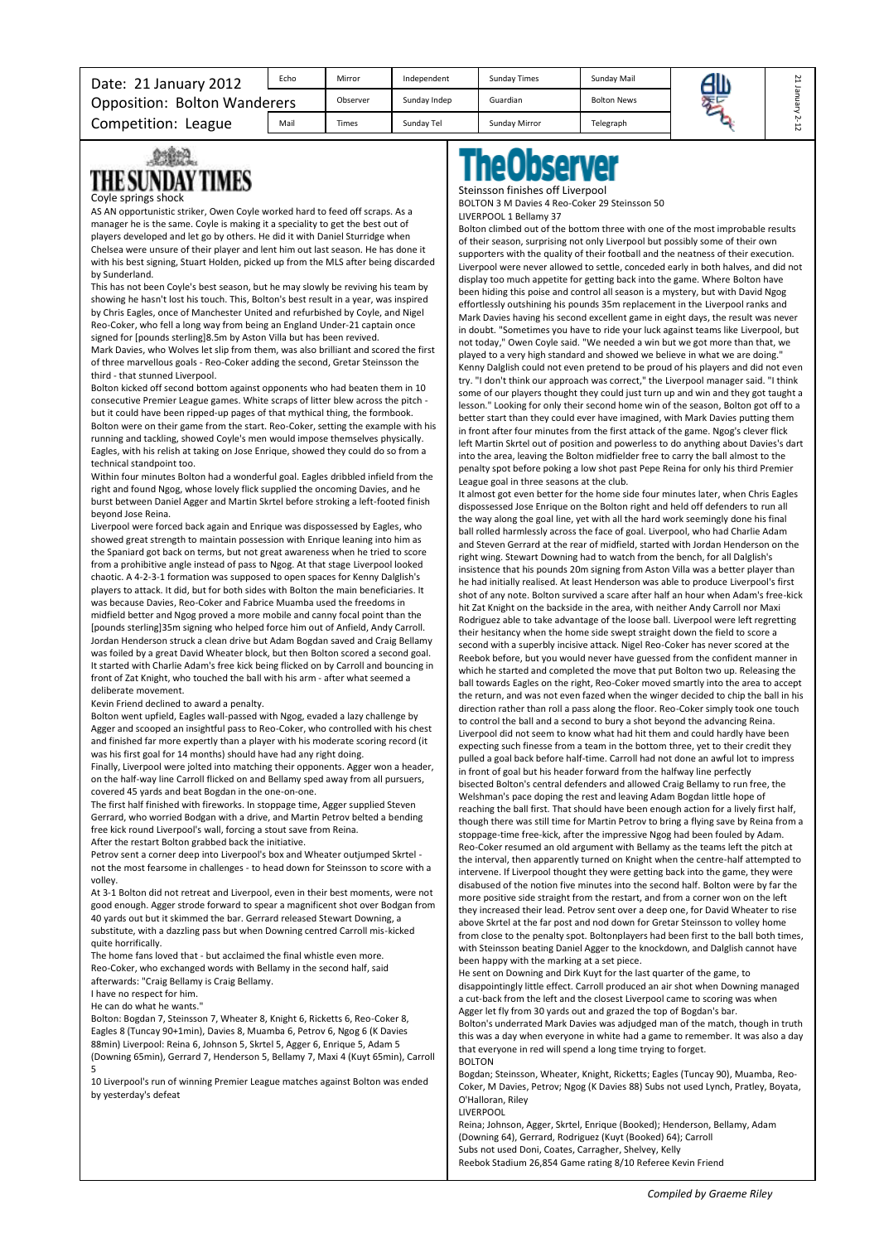| Date: 21 January 2012               | Echo | Mirror       | Independent  | Sunday Times  | Sunday Mail        |   |  |
|-------------------------------------|------|--------------|--------------|---------------|--------------------|---|--|
| <b>Opposition: Bolton Wanderers</b> |      | Observer     | Sunday Indep | Guardian      | <b>Bolton News</b> | 웷 |  |
| Competition: League                 | Mail | <b>Times</b> | Sunday Tel   | Sunday Mirror | Telegraph          |   |  |

#### $2562$ **THE SUNDAY TIMES** Coyle springs shock

AS AN opportunistic striker, Owen Coyle worked hard to feed off scraps. As a manager he is the same. Coyle is making it a speciality to get the best out of players developed and let go by others. He did it with Daniel Sturridge when Chelsea were unsure of their player and lent him out last season. He has done it with his best signing, Stuart Holden, picked up from the MLS after being discarded by Sunderland.

This has not been Coyle's best season, but he may slowly be reviving his team by showing he hasn't lost his touch. This, Bolton's best result in a year, was inspired by Chris Eagles, once of Manchester United and refurbished by Coyle, and Nigel Reo-Coker, who fell a long way from being an England Under-21 captain once signed for [pounds sterling]8.5m by Aston Villa but has been revived.

Mark Davies, who Wolves let slip from them, was also brilliant and scored the first of three marvellous goals - Reo-Coker adding the second, Gretar Steinsson the third - that stunned Liverpool.

Bolton kicked off second bottom against opponents who had beaten them in 10 consecutive Premier League games. White scraps of litter blew across the pitch but it could have been ripped-up pages of that mythical thing, the formbook. Bolton were on their game from the start. Reo-Coker, setting the example with his running and tackling, showed Coyle's men would impose themselves physically. Eagles, with his relish at taking on Jose Enrique, showed they could do so from a technical standpoint too.

Within four minutes Bolton had a wonderful goal. Eagles dribbled infield from the right and found Ngog, whose lovely flick supplied the oncoming Davies, and he burst between Daniel Agger and Martin Skrtel before stroking a left-footed finish beyond Jose Reina.

Liverpool were forced back again and Enrique was dispossessed by Eagles, who showed great strength to maintain possession with Enrique leaning into him as the Spaniard got back on terms, but not great awareness when he tried to score from a prohibitive angle instead of pass to Ngog. At that stage Liverpool looked chaotic. A 4-2-3-1 formation was supposed to open spaces for Kenny Dalglish's players to attack. It did, but for both sides with Bolton the main beneficiaries. It was because Davies, Reo-Coker and Fabrice Muamba used the freedoms in midfield better and Ngog proved a more mobile and canny focal point than the [pounds sterling]35m signing who helped force him out of Anfield, Andy Carroll. Jordan Henderson struck a clean drive but Adam Bogdan saved and Craig Bellamy was foiled by a great David Wheater block, but then Bolton scored a second goal. It started with Charlie Adam's free kick being flicked on by Carroll and bouncing in front of Zat Knight, who touched the ball with his arm - after what seemed a deliberate movement.

Kevin Friend declined to award a penalty.

Bolton went upfield, Eagles wall-passed with Ngog, evaded a lazy challenge by Agger and scooped an insightful pass to Reo-Coker, who controlled with his chest and finished far more expertly than a player with his moderate scoring record (it was his first goal for 14 months) should have had any right doing.

Finally, Liverpool were jolted into matching their opponents. Agger won a header, on the half-way line Carroll flicked on and Bellamy sped away from all pursuers, covered 45 yards and beat Bogdan in the one-on-one.

The first half finished with fireworks. In stoppage time, Agger supplied Steven Gerrard, who worried Bodgan with a drive, and Martin Petrov belted a bending free kick round Liverpool's wall, forcing a stout save from Reina. After the restart Bolton grabbed back the initiative.

Petrov sent a corner deep into Liverpool's box and Wheater outjumped Skrtel not the most fearsome in challenges - to head down for Steinsson to score with a volley.

At 3-1 Bolton did not retreat and Liverpool, even in their best moments, were not good enough. Agger strode forward to spear a magnificent shot over Bodgan from 40 yards out but it skimmed the bar. Gerrard released Stewart Downing, a substitute, with a dazzling pass but when Downing centred Carroll mis-kicked quite horrifically.

The home fans loved that - but acclaimed the final whistle even more. Reo-Coker, who exchanged words with Bellamy in the second half, said afterwards: "Craig Bellamy is Craig Bellamy.

I have no respect for him.

He can do what he wants."

Bolton: Bogdan 7, Steinsson 7, Wheater 8, Knight 6, Ricketts 6, Reo-Coker 8, Eagles 8 (Tuncay 90+1min), Davies 8, Muamba 6, Petrov 6, Ngog 6 (K Davies 88min) Liverpool: Reina 6, Johnson 5, Skrtel 5, Agger 6, Enrique 5, Adam 5 (Downing 65min), Gerrard 7, Henderson 5, Bellamy 7, Maxi 4 (Kuyt 65min), Carroll 5

10 Liverpool's run of winning Premier League matches against Bolton was ended by yesterday's defeat

### TheObserver Steinsson finishes off Liverpool

BOLTON 3 M Davies 4 Reo-Coker 29 Steinsson 50

LIVERPOOL 1 Bellamy 37

Bolton climbed out of the bottom three with one of the most improbable results of their season, surprising not only Liverpool but possibly some of their own supporters with the quality of their football and the neatness of their execution. Liverpool were never allowed to settle, conceded early in both halves, and did not display too much appetite for getting back into the game. Where Bolton have been hiding this poise and control all season is a mystery, but with David Ngog effortlessly outshining his pounds 35m replacement in the Liverpool ranks and Mark Davies having his second excellent game in eight days, the result was never in doubt. "Sometimes you have to ride your luck against teams like Liverpool, but not today," Owen Coyle said. "We needed a win but we got more than that, we played to a very high standard and showed we believe in what we are doing. Kenny Dalglish could not even pretend to be proud of his players and did not even try. "I don't think our approach was correct," the Liverpool manager said. "I think some of our players thought they could just turn up and win and they got taught a lesson." Looking for only their second home win of the season, Bolton got off to a better start than they could ever have imagined, with Mark Davies putting them in front after four minutes from the first attack of the game. Ngog's clever flick left Martin Skrtel out of position and powerless to do anything about Davies's dart into the area, leaving the Bolton midfielder free to carry the ball almost to the penalty spot before poking a low shot past Pepe Reina for only his third Premier League goal in three seasons at the club.

It almost got even better for the home side four minutes later, when Chris Eagles dispossessed Jose Enrique on the Bolton right and held off defenders to run all the way along the goal line, yet with all the hard work seemingly done his final ball rolled harmlessly across the face of goal. Liverpool, who had Charlie Adam and Steven Gerrard at the rear of midfield, started with Jordan Henderson on the right wing. Stewart Downing had to watch from the bench, for all Dalglish's insistence that his pounds 20m signing from Aston Villa was a better player than he had initially realised. At least Henderson was able to produce Liverpool's first shot of any note. Bolton survived a scare after half an hour when Adam's free-kick hit Zat Knight on the backside in the area, with neither Andy Carroll nor Maxi Rodriguez able to take advantage of the loose ball. Liverpool were left regretting their hesitancy when the home side swept straight down the field to score a second with a superbly incisive attack. Nigel Reo-Coker has never scored at the Reebok before, but you would never have guessed from the confident manner in which he started and completed the move that put Bolton two up. Releasing the ball towards Eagles on the right, Reo-Coker moved smartly into the area to accept the return, and was not even fazed when the winger decided to chip the ball in his direction rather than roll a pass along the floor. Reo-Coker simply took one touch to control the ball and a second to bury a shot beyond the advancing Reina. Liverpool did not seem to know what had hit them and could hardly have been expecting such finesse from a team in the bottom three, yet to their credit they pulled a goal back before half-time. Carroll had not done an awful lot to impress in front of goal but his header forward from the halfway line perfectly bisected Bolton's central defenders and allowed Craig Bellamy to run free, the Welshman's pace doping the rest and leaving Adam Bogdan little hope of reaching the ball first. That should have been enough action for a lively first half, though there was still time for Martin Petrov to bring a flying save by Reina from a stoppage-time free-kick, after the impressive Ngog had been fouled by Adam. Reo-Coker resumed an old argument with Bellamy as the teams left the pitch at the interval, then apparently turned on Knight when the centre-half attempted to intervene. If Liverpool thought they were getting back into the game, they were disabused of the notion five minutes into the second half. Bolton were by far the more positive side straight from the restart, and from a corner won on the left they increased their lead. Petrov sent over a deep one, for David Wheater to rise above Skrtel at the far post and nod down for Gretar Steinsson to volley home from close to the penalty spot. Boltonplayers had been first to the ball both times, with Steinsson beating Daniel Agger to the knockdown, and Dalglish cannot have been happy with the marking at a set piece.

He sent on Downing and Dirk Kuyt for the last quarter of the game, to disappointingly little effect. Carroll produced an air shot when Downing managed a cut-back from the left and the closest Liverpool came to scoring was when Agger let fly from 30 yards out and grazed the top of Bogdan's bar.

Bolton's underrated Mark Davies was adjudged man of the match, though in truth this was a day when everyone in white had a game to remember. It was also a day that everyone in red will spend a long time trying to forget. BOLTON

Bogdan; Steinsson, Wheater, Knight, Ricketts; Eagles (Tuncay 90), Muamba, Reo-Coker, M Davies, Petrov; Ngog (K Davies 88) Subs not used Lynch, Pratley, Boyata, O'Halloran, Riley

LIVERPOOL

Reina; Johnson, Agger, Skrtel, Enrique (Booked); Henderson, Bellamy, Adam (Downing 64), Gerrard, Rodriguez (Kuyt (Booked) 64); Carroll Subs not used Doni, Coates, Carragher, Shelvey, Kelly Reebok Stadium 26,854 Game rating 8/10 Referee Kevin Friend